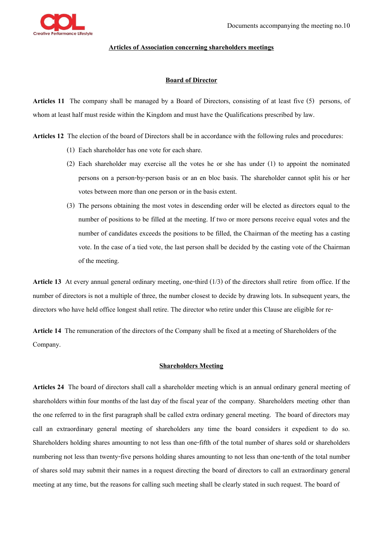

## **Articles of Association concerning shareholders meetings**

## **Board of Director**

**Articles 11** The company shall be managed by a Board of Directors, consisting of at least five (5) persons, of whom at least half must reside within the Kingdom and must have the Qualifications prescribed by law.

**Articles 12** The election of the board of Directors shall be in accordance with the following rules and procedures:

- (1) Each shareholder has one vote for each share.
- (2) Each shareholder may exercise all the votes he or she has under (1) to appoint the nominated persons on a person-by-person basis or an en bloc basis. The shareholder cannot split his or her votes between more than one person or in the basis extent.
- (3) The persons obtaining the most votes in descending order will be elected as directors equal to the number of positions to be filled at the meeting. If two or more persons receive equal votes and the number of candidates exceeds the positions to be filled, the Chairman of the meeting has a casting vote. In the case of a tied vote, the last person shall be decided by the casting vote of the Chairman of the meeting.

**Article 13** At every annual general ordinary meeting, one-third (1/3) of the directors shall retire from office. If the number of directors is not a multiple of three, the number closest to decide by drawing lots. In subsequent years, the directors who have held office longest shall retire. The director who retire under this Clause are eligible for re-

Article 14 The remuneration of the directors of the Company shall be fixed at a meeting of Shareholders of the Company.

## **Shareholders Meeting**

**Articles 24** The board of directors shall call a shareholder meeting which is an annual ordinary general meeting of shareholders within four months of the last day of the fiscal year of the company. Shareholders meeting other than the one referred to in the first paragraph shall be called extra ordinary general meeting. The board of directors may call an extraordinary general meeting of shareholders any time the board considers it expedient to do so. Shareholders holding shares amounting to not less than one-fifth of the total number of shares sold or shareholders numbering not less than twenty-five persons holding shares amounting to not less than one-tenth of the total number of shares sold may submit their names in a request directing the board of directors to call an extraordinary general meeting at any time, but the reasons for calling such meeting shall be clearly stated in such request. The board of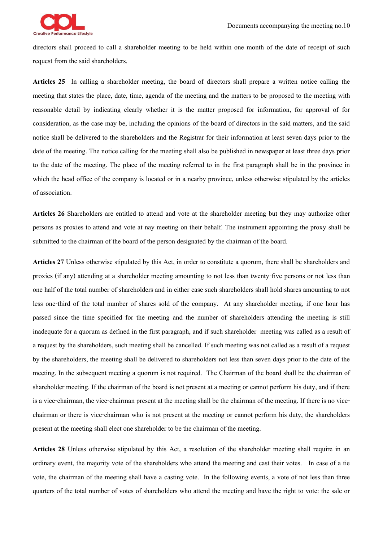

directors shall proceed to call a shareholder meeting to be held within one month of the date of receipt of such request from the said shareholders.

**Articles 25** In calling a shareholder meeting, the board of directors shall prepare a written notice calling the meeting that states the place, date, time, agenda of the meeting and the matters to be proposed to the meeting with reasonable detail by indicating clearly whether it is the matter proposed for information, for approval of for consideration, as the case may be, including the opinions of the board of directors in the said matters, and the said notice shall be delivered to the shareholders and the Registrar for their information at least seven days prior to the date of the meeting. The notice calling for the meeting shall also be published in newspaper at least three days prior to the date of the meeting. The place of the meeting referred to in the first paragraph shall be in the province in which the head office of the company is located or in a nearby province, unless otherwise stipulated by the articles of association.

**Articles 26** Shareholders are entitled to attend and vote at the shareholder meeting but they may authorize other persons as proxies to attend and vote at nay meeting on their behalf. The instrument appointing the proxy shall be submitted to the chairman of the board of the person designated by the chairman of the board.

**Articles 27** Unless otherwise stipulated by this Act, in order to constitute a quorum, there shall be shareholders and proxies (if any) attending at a shareholder meeting amounting to not less than twenty-five persons or not less than one half of the total number of shareholders and in either case such shareholders shall hold shares amounting to not less one-third of the total number of shares sold of the company. At any shareholder meeting, if one hour has passed since the time specified for the meeting and the number of shareholders attending the meeting is still inadequate for a quorum as defined in the first paragraph, and if such shareholder meeting was called as a result of a request by the shareholders, such meeting shall be cancelled. If such meeting was not called as a result of a request by the shareholders, the meeting shall be delivered to shareholders not less than seven days prior to the date of the meeting. In the subsequent meeting a quorum is not required. The Chairman of the board shall be the chairman of shareholder meeting. If the chairman of the board is not present at a meeting or cannot perform his duty, and if there is a vice-chairman, the vice-chairman present at the meeting shall be the chairman of the meeting. If there is no vicechairman or there is vice-chairman who is not present at the meeting or cannot perform his duty, the shareholders present at the meeting shall elect one shareholder to be the chairman of the meeting.

**Articles 28** Unless otherwise stipulated by this Act, a resolution of the shareholder meeting shall require in an ordinary event, the majority vote of the shareholders who attend the meeting and cast their votes. In case of a tie vote, the chairman of the meeting shall have a casting vote. In the following events, a vote of not less than three quarters of the total number of votes of shareholders who attend the meeting and have the right to vote: the sale or